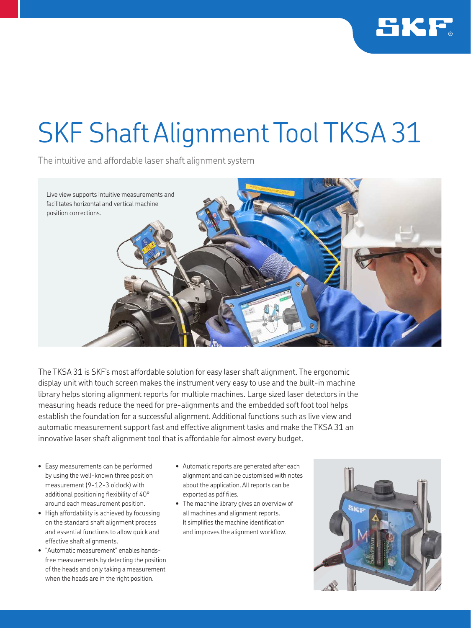

## SKF Shaft Alignment Tool TKSA 31

The intuitive and affordable laser shaft alignment system



The TKSA 31 is SKF's most affordable solution for easy laser shaft alignment. The ergonomic display unit with touch screen makes the instrument very easy to use and the built-in machine library helps storing alignment reports for multiple machines. Large sized laser detectors in the measuring heads reduce the need for pre-alignments and the embedded soft foot tool helps establish the foundation for a successful alignment. Additional functions such as live view and automatic measurement support fast and effective alignment tasks and make the TKSA 31 an innovative laser shaft alignment tool that is affordable for almost every budget.

- Easy measurements can be performed by using the well-known three position measurement (9-12-3 o'clock) with additional positioning flexibility of 40° around each measurement position.
- High affordability is achieved by focussing on the standard shaft alignment process and essential functions to allow quick and effective shaft alignments.
- "Automatic measurement" enables handsfree measurements by detecting the position of the heads and only taking a measurement when the heads are in the right position.
- Automatic reports are generated after each alignment and can be customised with notes about the application. All reports can be exported as pdf files.
- The machine library gives an overview of all machines and alignment reports. It simplifies the machine identification and improves the alignment workflow.